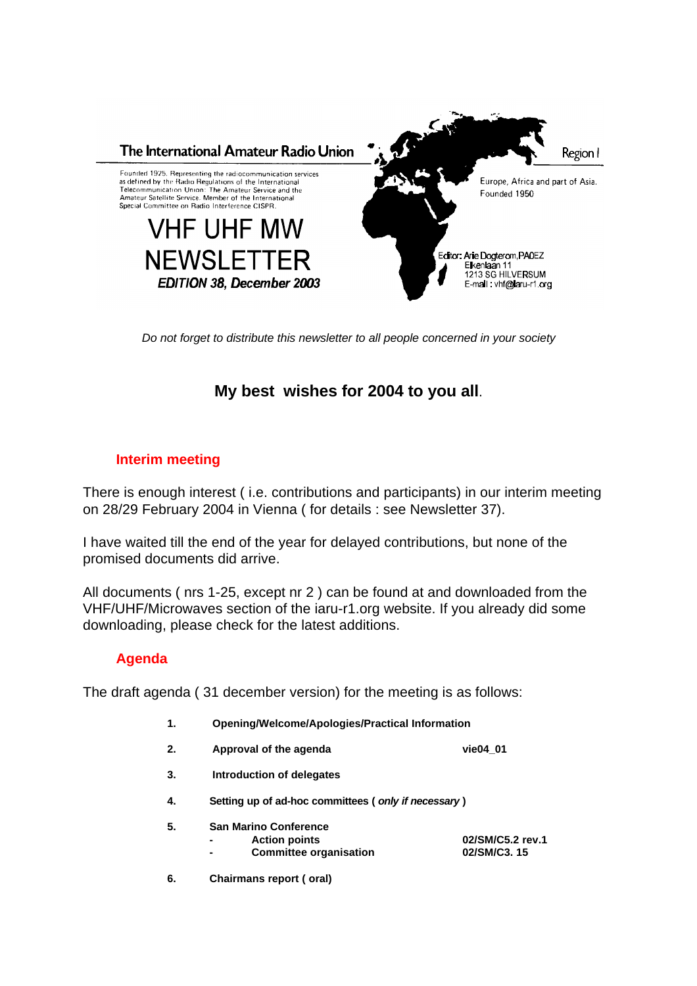

*Do not forget to distribute this newsletter to all people concerned in your society*

## **My best wishes for 2004 to you all**.

## **Interim meeting**

There is enough interest ( i.e. contributions and participants) in our interim meeting on 28/29 February 2004 in Vienna ( for details : see Newsletter 37).

I have waited till the end of the year for delayed contributions, but none of the promised documents did arrive.

All documents ( nrs 1-25, except nr 2 ) can be found at and downloaded from the VHF/UHF/Microwaves section of the iaru-r1.org website. If you already did some downloading, please check for the latest additions.

## **Agenda**

The draft agenda ( 31 december version) for the meeting is as follows:

- **1. Opening/Welcome/Apologies/Practical Information**
- **2. Approval of the agenda vie04\_01**
- **3. Introduction of delegates**
- **4. Setting up of ad-hoc committees (** *only if necessary* **)**
- **5. San Marino Conference** 
	-
- **- Action points 02/SM/C5.2 rev.1**  $Committee$  organisation
- **6. Chairmans report ( oral)**